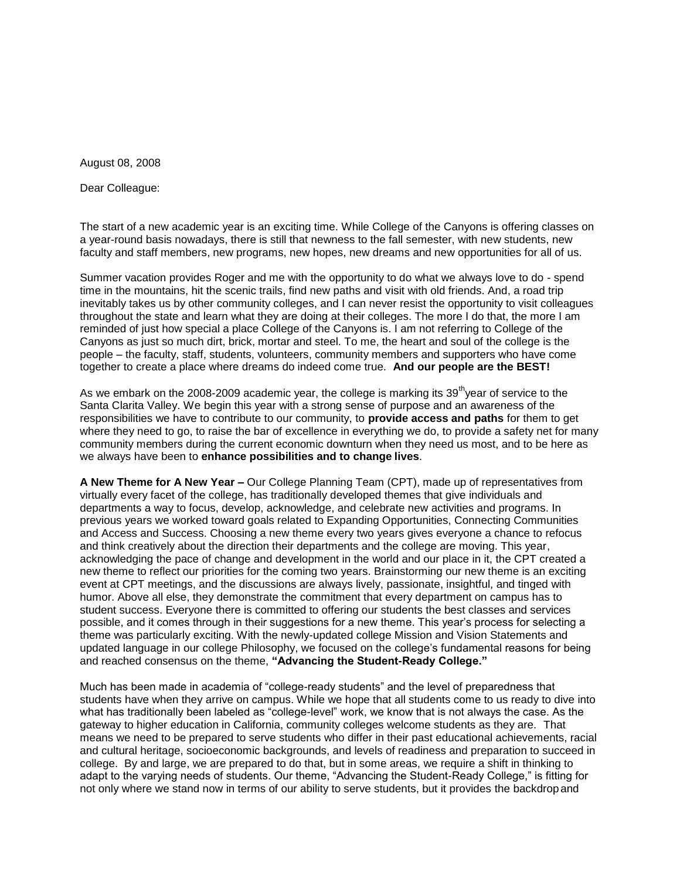August 08, 2008

Dear Colleague:

The start of a new academic year is an exciting time. While College of the Canyons is offering classes on a year-round basis nowadays, there is still that newness to the fall semester, with new students, new faculty and staff members, new programs, new hopes, new dreams and new opportunities for all of us.

Summer vacation provides Roger and me with the opportunity to do what we always love to do - spend time in the mountains, hit the scenic trails, find new paths and visit with old friends. And, a road trip inevitably takes us by other community colleges, and I can never resist the opportunity to visit colleagues throughout the state and learn what they are doing at their colleges. The more I do that, the more I am reminded of just how special a place College of the Canyons is. I am not referring to College of the Canyons as just so much dirt, brick, mortar and steel. To me, the heart and soul of the college is the people – the faculty, staff, students, volunteers, community members and supporters who have come together to create a place where dreams do indeed come true. **And our people are the BEST!**

As we embark on the 2008-2009 academic year, the college is marking its 39<sup>th</sup>year of service to the Santa Clarita Valley. We begin this year with a strong sense of purpose and an awareness of the responsibilities we have to contribute to our community, to **provide access and paths** for them to get where they need to go, to raise the bar of excellence in everything we do, to provide a safety net for many community members during the current economic downturn when they need us most, and to be here as we always have been to **enhance possibilities and to change lives**.

**A New Theme for A New Year –** Our College Planning Team (CPT), made up of representatives from virtually every facet of the college, has traditionally developed themes that give individuals and departments a way to focus, develop, acknowledge, and celebrate new activities and programs. In previous years we worked toward goals related to Expanding Opportunities, Connecting Communities and Access and Success. Choosing a new theme every two years gives everyone a chance to refocus and think creatively about the direction their departments and the college are moving. This year, acknowledging the pace of change and development in the world and our place in it, the CPT created a new theme to reflect our priorities for the coming two years. Brainstorming our new theme is an exciting event at CPT meetings, and the discussions are always lively, passionate, insightful, and tinged with humor. Above all else, they demonstrate the commitment that every department on campus has to student success. Everyone there is committed to offering our students the best classes and services possible, and it comes through in their suggestions for a new theme. This year's process for selecting a theme was particularly exciting. With the newly-updated college Mission and Vision Statements and updated language in our college Philosophy, we focused on the college's fundamental reasons for being and reached consensus on the theme, **"Advancing the Student-Ready College."**

Much has been made in academia of "college-ready students" and the level of preparedness that students have when they arrive on campus. While we hope that all students come to us ready to dive into what has traditionally been labeled as "college-level" work, we know that is not always the case. As the gateway to higher education in California, community colleges welcome students as they are. That means we need to be prepared to serve students who differ in their past educational achievements, racial and cultural heritage, socioeconomic backgrounds, and levels of readiness and preparation to succeed in college. By and large, we are prepared to do that, but in some areas, we require a shift in thinking to adapt to the varying needs of students. Our theme, "Advancing the Student-Ready College," is fitting for not only where we stand now in terms of our ability to serve students, but it provides the backdrop and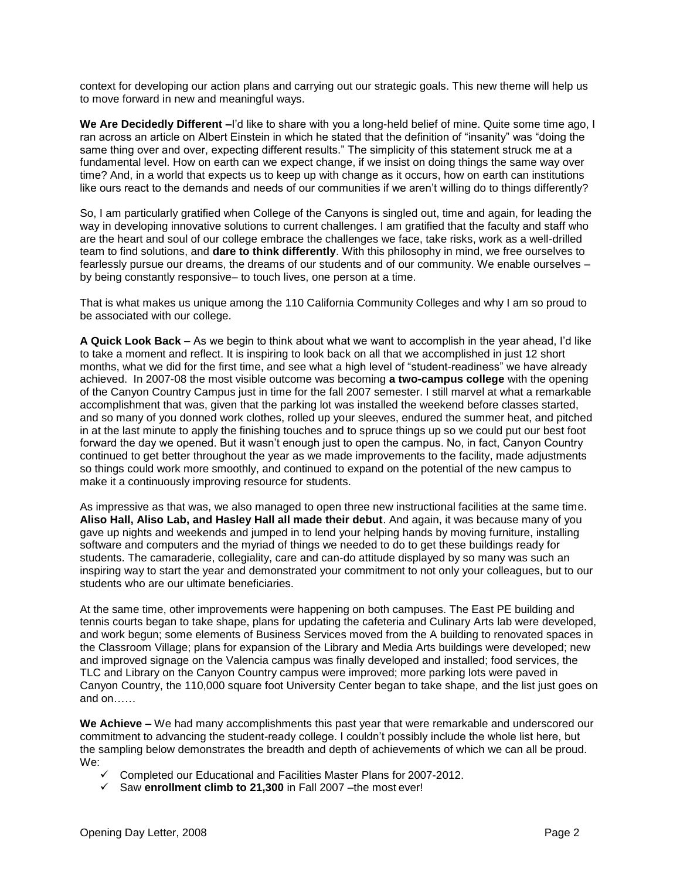context for developing our action plans and carrying out our strategic goals. This new theme will help us to move forward in new and meaningful ways.

**We Are Decidedly Different –**I'd like to share with you a long-held belief of mine. Quite some time ago, I ran across an article on Albert Einstein in which he stated that the definition of "insanity" was "doing the same thing over and over, expecting different results." The simplicity of this statement struck me at a fundamental level. How on earth can we expect change, if we insist on doing things the same way over time? And, in a world that expects us to keep up with change as it occurs, how on earth can institutions like ours react to the demands and needs of our communities if we aren't willing do to things differently?

So, I am particularly gratified when College of the Canyons is singled out, time and again, for leading the way in developing innovative solutions to current challenges. I am gratified that the faculty and staff who are the heart and soul of our college embrace the challenges we face, take risks, work as a well-drilled team to find solutions, and **dare to think differently**. With this philosophy in mind, we free ourselves to fearlessly pursue our dreams, the dreams of our students and of our community. We enable ourselves – by being constantly responsive– to touch lives, one person at a time.

That is what makes us unique among the 110 California Community Colleges and why I am so proud to be associated with our college.

**A Quick Look Back –** As we begin to think about what we want to accomplish in the year ahead, I'd like to take a moment and reflect. It is inspiring to look back on all that we accomplished in just 12 short months, what we did for the first time, and see what a high level of "student-readiness" we have already achieved. In 2007-08 the most visible outcome was becoming **a two-campus college** with the opening of the Canyon Country Campus just in time for the fall 2007 semester. I still marvel at what a remarkable accomplishment that was, given that the parking lot was installed the weekend before classes started, and so many of you donned work clothes, rolled up your sleeves, endured the summer heat, and pitched in at the last minute to apply the finishing touches and to spruce things up so we could put our best foot forward the day we opened. But it wasn't enough just to open the campus. No, in fact, Canyon Country continued to get better throughout the year as we made improvements to the facility, made adjustments so things could work more smoothly, and continued to expand on the potential of the new campus to make it a continuously improving resource for students.

As impressive as that was, we also managed to open three new instructional facilities at the same time. **Aliso Hall, Aliso Lab, and Hasley Hall all made their debut**. And again, it was because many of you gave up nights and weekends and jumped in to lend your helping hands by moving furniture, installing software and computers and the myriad of things we needed to do to get these buildings ready for students. The camaraderie, collegiality, care and can-do attitude displayed by so many was such an inspiring way to start the year and demonstrated your commitment to not only your colleagues, but to our students who are our ultimate beneficiaries.

At the same time, other improvements were happening on both campuses. The East PE building and tennis courts began to take shape, plans for updating the cafeteria and Culinary Arts lab were developed, and work begun; some elements of Business Services moved from the A building to renovated spaces in the Classroom Village; plans for expansion of the Library and Media Arts buildings were developed; new and improved signage on the Valencia campus was finally developed and installed; food services, the TLC and Library on the Canyon Country campus were improved; more parking lots were paved in Canyon Country, the 110,000 square foot University Center began to take shape, and the list just goes on and on……

**We Achieve –** We had many accomplishments this past year that were remarkable and underscored our commitment to advancing the student-ready college. I couldn't possibly include the whole list here, but the sampling below demonstrates the breadth and depth of achievements of which we can all be proud. We:

- $\checkmark$  Completed our Educational and Facilities Master Plans for 2007-2012.
- Saw **enrollment climb to 21,300** in Fall 2007 –the most ever!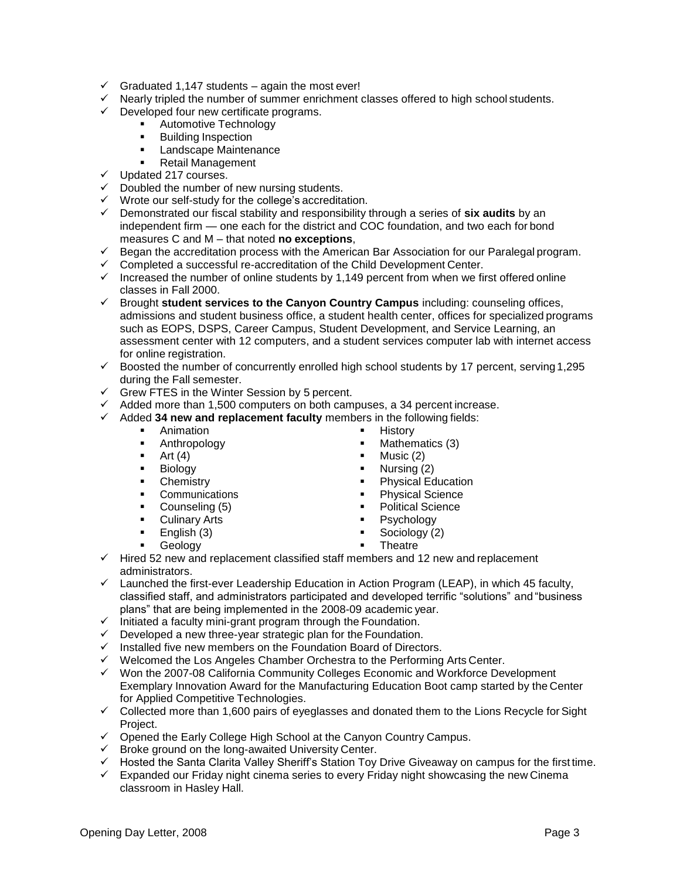- $\checkmark$  Graduated 1,147 students again the most ever!
- $\checkmark$  Nearly tripled the number of summer enrichment classes offered to high school students.
- $\checkmark$  Developed four new certificate programs.
	- **Automotive Technology** 
		- **Building Inspection**
		- **Landscape Maintenance**
	- Retail Management
- $\checkmark$  Updated 217 courses.
- $\checkmark$  Doubled the number of new nursing students.
- $\checkmark$  Wrote our self-study for the college's accreditation.
- Demonstrated our fiscal stability and responsibility through a series of **six audits** by an independent firm — one each for the district and COC foundation, and two each for bond measures C and M – that noted **no exceptions**,
- $\checkmark$  Began the accreditation process with the American Bar Association for our Paralegal program.
- $\checkmark$  Completed a successful re-accreditation of the Child Development Center.
- $\checkmark$  Increased the number of online students by 1,149 percent from when we first offered online classes in Fall 2000.
- Brought **student services to the Canyon Country Campus** including: counseling offices, admissions and student business office, a student health center, offices for specialized programs such as EOPS, DSPS, Career Campus, Student Development, and Service Learning, an assessment center with 12 computers, and a student services computer lab with internet access for online registration.
- $\checkmark$  Boosted the number of concurrently enrolled high school students by 17 percent, serving 1,295 during the Fall semester.
- $\checkmark$  Grew FTES in the Winter Session by 5 percent.
- $\checkmark$  Added more than 1,500 computers on both campuses, a 34 percent increase.
- Added **34 new and replacement faculty** members in the following fields:
	- **Animation**
	- **Anthropology**
	- $\blacksquare$  Art (4)
	- **Biology**
	- **Chemistry**
	- **Communications**
	- Counseling (5)
	- **Culinary Arts**
	- $\blacksquare$  English (3)
	- **Geology**

 $Music(2)$ Nursing (2)

History

Physical Education

Mathematics (3)

- 
- 
- 
- Sociology (2)
- **Theatre**
- $\checkmark$  Hired 52 new and replacement classified staff members and 12 new and replacement administrators.
- $\checkmark$  Launched the first-ever Leadership Education in Action Program (LEAP), in which 45 faculty, classified staff, and administrators participated and developed terrific "solutions" and "business plans" that are being implemented in the 2008-09 academic year.
- $\checkmark$  Initiated a faculty mini-grant program through the Foundation.
- $\checkmark$  Developed a new three-year strategic plan for the Foundation.
- $\checkmark$  Installed five new members on the Foundation Board of Directors.
- $\checkmark$  Welcomed the Los Angeles Chamber Orchestra to the Performing Arts Center.
- Won the 2007-08 California Community Colleges Economic and Workforce Development Exemplary Innovation Award for the Manufacturing Education Boot camp started by the Center for Applied Competitive Technologies.
- $\checkmark$  Collected more than 1,600 pairs of eyeglasses and donated them to the Lions Recycle for Sight Project.
- $\checkmark$  Opened the Early College High School at the Canyon Country Campus.
- $\checkmark$  Broke ground on the long-awaited University Center.
- $\checkmark$  Hosted the Santa Clarita Valley Sheriff's Station Toy Drive Giveaway on campus for the first time.
- $\checkmark$  Expanded our Friday night cinema series to every Friday night showcasing the new Cinema classroom in Hasley Hall.
- 
- Physical Science
- Political Science
- Psychology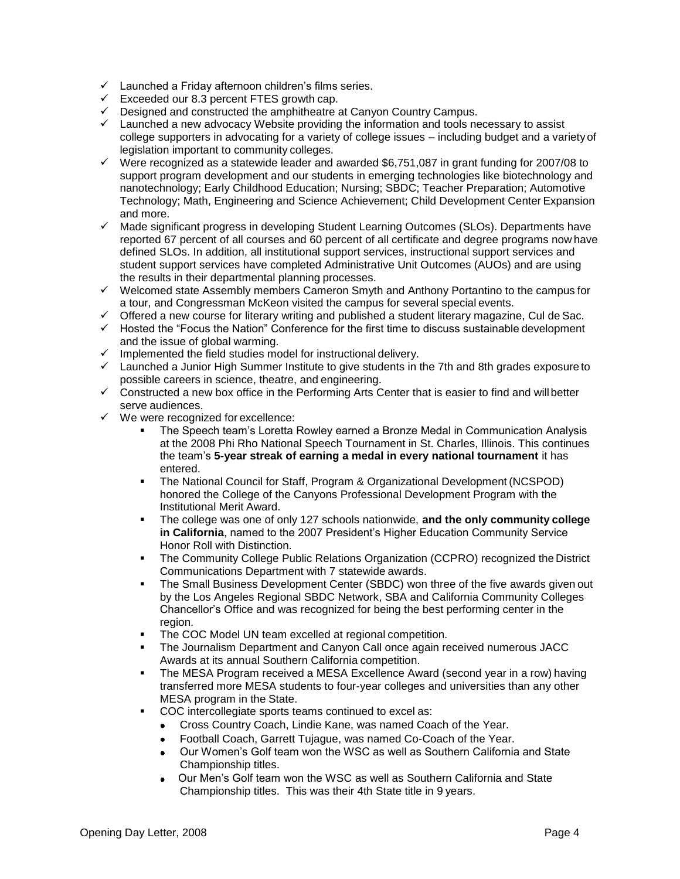- $\checkmark$  Launched a Friday afternoon children's films series.
- $\checkmark$  Exceeded our 8.3 percent FTES growth cap.
- Designed and constructed the amphitheatre at Canyon Country Campus.
- $\checkmark$  Launched a new advocacy Website providing the information and tools necessary to assist college supporters in advocating for a variety of college issues – including budget and a variety of legislation important to community colleges.
- $\checkmark$  Were recognized as a statewide leader and awarded \$6,751,087 in grant funding for 2007/08 to support program development and our students in emerging technologies like biotechnology and nanotechnology; Early Childhood Education; Nursing; SBDC; Teacher Preparation; Automotive Technology; Math, Engineering and Science Achievement; Child Development Center Expansion and more.
- $\checkmark$  Made significant progress in developing Student Learning Outcomes (SLOs). Departments have reported 67 percent of all courses and 60 percent of all certificate and degree programs now have defined SLOs. In addition, all institutional support services, instructional support services and student support services have completed Administrative Unit Outcomes (AUOs) and are using the results in their departmental planning processes.
- $\checkmark$  Welcomed state Assembly members Cameron Smyth and Anthony Portantino to the campus for a tour, and Congressman McKeon visited the campus for several special events.
- $\checkmark$  Offered a new course for literary writing and published a student literary magazine, Cul de Sac.
- $\checkmark$  Hosted the "Focus the Nation" Conference for the first time to discuss sustainable development and the issue of global warming.
- $\checkmark$  Implemented the field studies model for instructional delivery.
- $\checkmark$  Launched a Junior High Summer Institute to give students in the 7th and 8th grades exposure to possible careers in science, theatre, and engineering.
- $\checkmark$  Constructed a new box office in the Performing Arts Center that is easier to find and will better serve audiences.
- $\checkmark$  We were recognized for excellence:
	- The Speech team's Loretta Rowley earned a Bronze Medal in Communication Analysis at the 2008 Phi Rho National Speech Tournament in St. Charles, Illinois. This continues the team's **5-year streak of earning a medal in every national tournament** it has entered.
	- The National Council for Staff, Program & Organizational Development (NCSPOD) honored the College of the Canyons Professional Development Program with the Institutional Merit Award.
	- The college was one of only 127 schools nationwide, **and the only community college in California**, named to the 2007 President's Higher Education Community Service Honor Roll with Distinction.
	- The Community College Public Relations Organization (CCPRO) recognized the District Communications Department with 7 statewide awards.
	- The Small Business Development Center (SBDC) won three of the five awards given out by the Los Angeles Regional SBDC Network, SBA and California Community Colleges Chancellor's Office and was recognized for being the best performing center in the region.
	- The COC Model UN team excelled at regional competition.
	- The Journalism Department and Canyon Call once again received numerous JACC Awards at its annual Southern California competition.
	- The MESA Program received a MESA Excellence Award (second year in a row) having transferred more MESA students to four-year colleges and universities than any other MESA program in the State.
	- COC intercollegiate sports teams continued to excel as:
		- Cross Country Coach, Lindie Kane, was named Coach of the Year.
		- Football Coach, Garrett Tujague, was named Co-Coach of the Year.  $\bullet$
		- Our Women's Golf team won the WSC as well as Southern California and State Championship titles.
		- Our Men's Golf team won the WSC as well as Southern California and State Championship titles. This was their 4th State title in 9 years.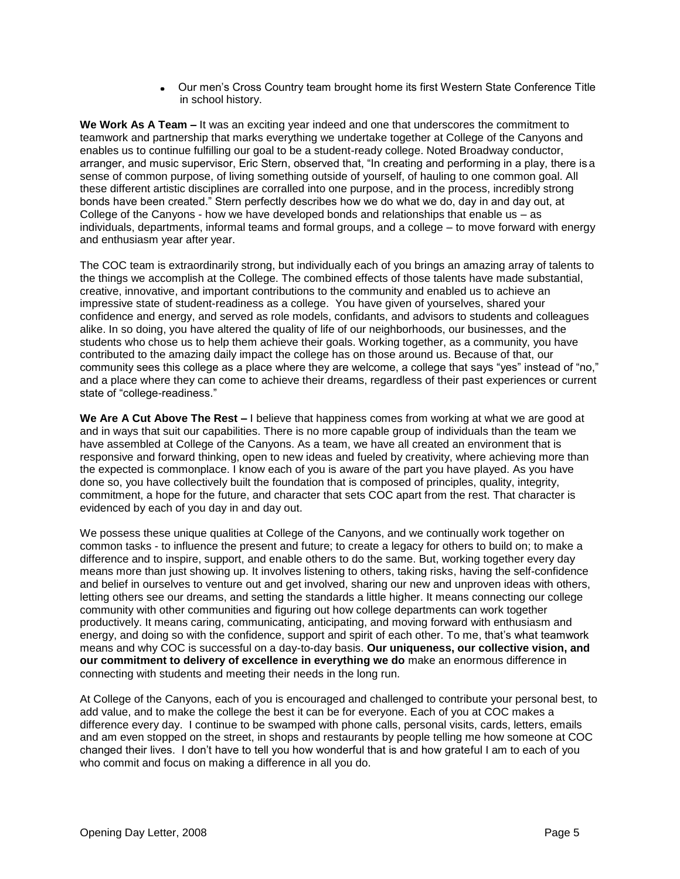Our men's Cross Country team brought home its first Western State Conference Title in school history.

**We Work As A Team –** It was an exciting year indeed and one that underscores the commitment to teamwork and partnership that marks everything we undertake together at College of the Canyons and enables us to continue fulfilling our goal to be a student-ready college. Noted Broadway conductor, arranger, and music supervisor, Eric Stern, observed that, "In creating and performing in a play, there is a sense of common purpose, of living something outside of yourself, of hauling to one common goal. All these different artistic disciplines are corralled into one purpose, and in the process, incredibly strong bonds have been created." Stern perfectly describes how we do what we do, day in and day out, at College of the Canyons - how we have developed bonds and relationships that enable us – as individuals, departments, informal teams and formal groups, and a college – to move forward with energy and enthusiasm year after year.

The COC team is extraordinarily strong, but individually each of you brings an amazing array of talents to the things we accomplish at the College. The combined effects of those talents have made substantial, creative, innovative, and important contributions to the community and enabled us to achieve an impressive state of student-readiness as a college. You have given of yourselves, shared your confidence and energy, and served as role models, confidants, and advisors to students and colleagues alike. In so doing, you have altered the quality of life of our neighborhoods, our businesses, and the students who chose us to help them achieve their goals. Working together, as a community, you have contributed to the amazing daily impact the college has on those around us. Because of that, our community sees this college as a place where they are welcome, a college that says "yes" instead of "no," and a place where they can come to achieve their dreams, regardless of their past experiences or current state of "college-readiness."

**We Are A Cut Above The Rest –** I believe that happiness comes from working at what we are good at and in ways that suit our capabilities. There is no more capable group of individuals than the team we have assembled at College of the Canyons. As a team, we have all created an environment that is responsive and forward thinking, open to new ideas and fueled by creativity, where achieving more than the expected is commonplace. I know each of you is aware of the part you have played. As you have done so, you have collectively built the foundation that is composed of principles, quality, integrity, commitment, a hope for the future, and character that sets COC apart from the rest. That character is evidenced by each of you day in and day out.

We possess these unique qualities at College of the Canyons, and we continually work together on common tasks - to influence the present and future; to create a legacy for others to build on; to make a difference and to inspire, support, and enable others to do the same. But, working together every day means more than just showing up. It involves listening to others, taking risks, having the self-confidence and belief in ourselves to venture out and get involved, sharing our new and unproven ideas with others, letting others see our dreams, and setting the standards a little higher. It means connecting our college community with other communities and figuring out how college departments can work together productively. It means caring, communicating, anticipating, and moving forward with enthusiasm and energy, and doing so with the confidence, support and spirit of each other. To me, that's what teamwork means and why COC is successful on a day-to-day basis. **Our uniqueness, our collective vision, and our commitment to delivery of excellence in everything we do** make an enormous difference in connecting with students and meeting their needs in the long run.

At College of the Canyons, each of you is encouraged and challenged to contribute your personal best, to add value, and to make the college the best it can be for everyone. Each of you at COC makes a difference every day. I continue to be swamped with phone calls, personal visits, cards, letters, emails and am even stopped on the street, in shops and restaurants by people telling me how someone at COC changed their lives. I don't have to tell you how wonderful that is and how grateful I am to each of you who commit and focus on making a difference in all you do.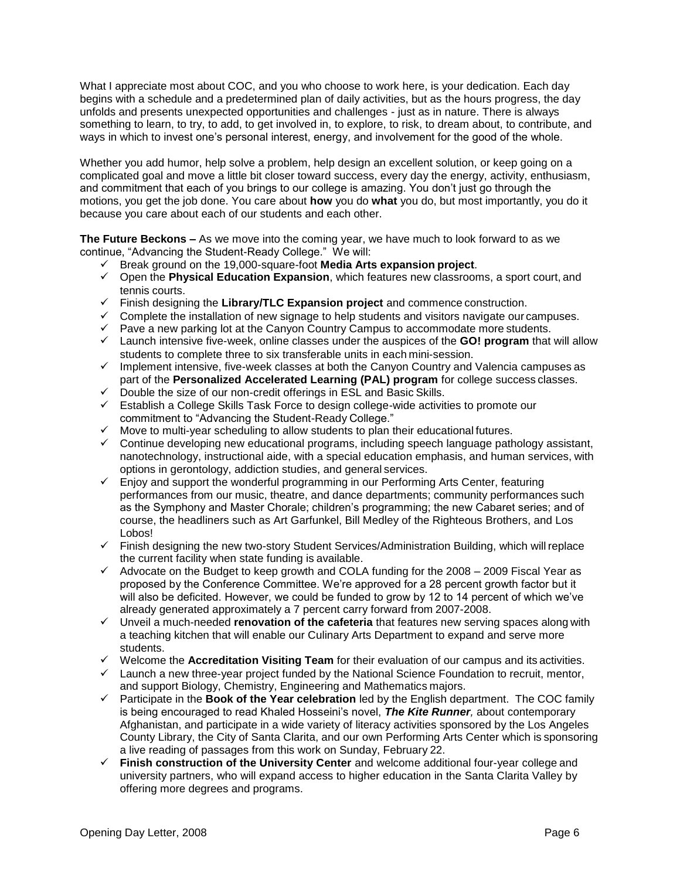What I appreciate most about COC, and you who choose to work here, is your dedication. Each day begins with a schedule and a predetermined plan of daily activities, but as the hours progress, the day unfolds and presents unexpected opportunities and challenges - just as in nature. There is always something to learn, to try, to add, to get involved in, to explore, to risk, to dream about, to contribute, and ways in which to invest one's personal interest, energy, and involvement for the good of the whole.

Whether you add humor, help solve a problem, help design an excellent solution, or keep going on a complicated goal and move a little bit closer toward success, every day the energy, activity, enthusiasm, and commitment that each of you brings to our college is amazing. You don't just go through the motions, you get the job done. You care about **how** you do **what** you do, but most importantly, you do it because you care about each of our students and each other.

**The Future Beckons –** As we move into the coming year, we have much to look forward to as we continue, "Advancing the Student-Ready College." We will:

- Break ground on the 19,000-square-foot **Media Arts expansion project**.
- Open the **Physical Education Expansion**, which features new classrooms, a sport court, and tennis courts.
- Finish designing the **Library/TLC Expansion project** and commence construction.
- $\checkmark$  Complete the installation of new signage to help students and visitors navigate our campuses.
- $\checkmark$  Pave a new parking lot at the Canyon Country Campus to accommodate more students.
- Launch intensive five-week, online classes under the auspices of the **GO! program** that will allow students to complete three to six transferable units in each mini-session.
- $\checkmark$  Implement intensive, five-week classes at both the Canyon Country and Valencia campuses as part of the **Personalized Accelerated Learning (PAL) program** for college success classes.
- $\checkmark$  Double the size of our non-credit offerings in ESL and Basic Skills.
- $\checkmark$  Establish a College Skills Task Force to design college-wide activities to promote our commitment to "Advancing the Student-Ready College."
- $\checkmark$  Move to multi-year scheduling to allow students to plan their educational futures.
- $\checkmark$  Continue developing new educational programs, including speech language pathology assistant, nanotechnology, instructional aide, with a special education emphasis, and human services, with options in gerontology, addiction studies, and general services.
- $\checkmark$  Enjoy and support the wonderful programming in our Performing Arts Center, featuring performances from our music, theatre, and dance departments; community performances such as the Symphony and Master Chorale; children's programming; the new Cabaret series; and of course, the headliners such as Art Garfunkel, Bill Medley of the Righteous Brothers, and Los Lobos!
- $\checkmark$  Finish designing the new two-story Student Services/Administration Building, which will replace the current facility when state funding is available.
- $\checkmark$  Advocate on the Budget to keep growth and COLA funding for the 2008 2009 Fiscal Year as proposed by the Conference Committee. We're approved for a 28 percent growth factor but it will also be deficited. However, we could be funded to grow by 12 to 14 percent of which we've already generated approximately a 7 percent carry forward from 2007-2008.
- Unveil a much-needed **renovation of the cafeteria** that features new serving spaces along with a teaching kitchen that will enable our Culinary Arts Department to expand and serve more students.
- Welcome the **Accreditation Visiting Team** for their evaluation of our campus and its activities.
- $\checkmark$  Launch a new three-year project funded by the National Science Foundation to recruit, mentor, and support Biology, Chemistry, Engineering and Mathematics majors.
- Participate in the **Book of the Year celebration** led by the English department. The COC family is being encouraged to read Khaled Hosseini's novel, *The Kite Runner,* about contemporary Afghanistan, and participate in a wide variety of literacy activities sponsored by the Los Angeles County Library, the City of Santa Clarita, and our own Performing Arts Center which is sponsoring a live reading of passages from this work on Sunday, February 22.
- **Finish construction of the University Center** and welcome additional four-year college and university partners, who will expand access to higher education in the Santa Clarita Valley by offering more degrees and programs.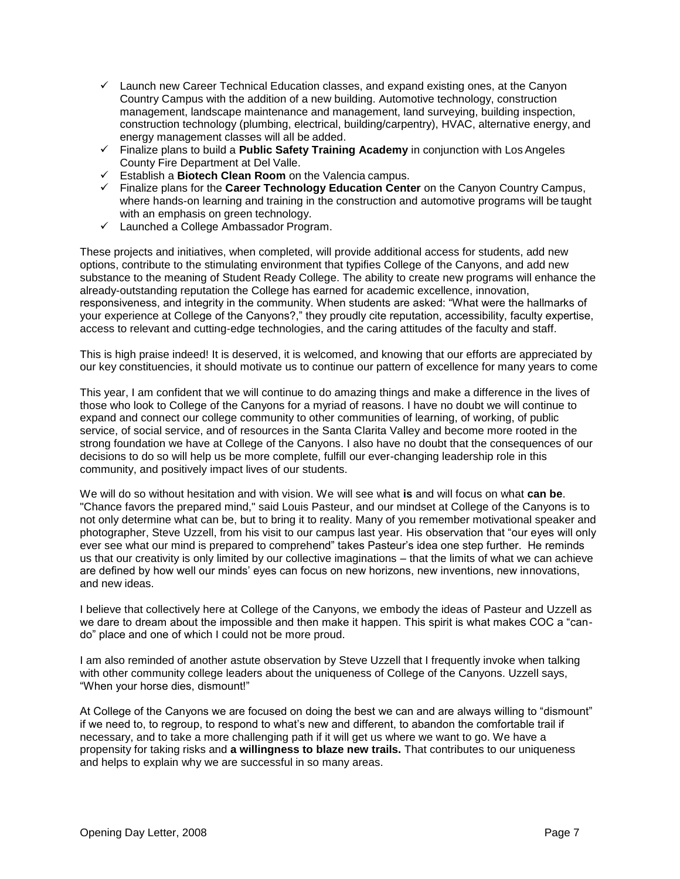- $\checkmark$  Launch new Career Technical Education classes, and expand existing ones, at the Canyon Country Campus with the addition of a new building. Automotive technology, construction management, landscape maintenance and management, land surveying, building inspection, construction technology (plumbing, electrical, building/carpentry), HVAC, alternative energy, and energy management classes will all be added.
- Finalize plans to build a **Public Safety Training Academy** in conjunction with Los Angeles County Fire Department at Del Valle.
- Establish a **Biotech Clean Room** on the Valencia campus.
- Finalize plans for the **Career Technology Education Center** on the Canyon Country Campus, where hands-on learning and training in the construction and automotive programs will be taught with an emphasis on green technology.
- $\checkmark$  Launched a College Ambassador Program.

These projects and initiatives, when completed, will provide additional access for students, add new options, contribute to the stimulating environment that typifies College of the Canyons, and add new substance to the meaning of Student Ready College. The ability to create new programs will enhance the already-outstanding reputation the College has earned for academic excellence, innovation, responsiveness, and integrity in the community. When students are asked: "What were the hallmarks of your experience at College of the Canyons?," they proudly cite reputation, accessibility, faculty expertise, access to relevant and cutting-edge technologies, and the caring attitudes of the faculty and staff.

This is high praise indeed! It is deserved, it is welcomed, and knowing that our efforts are appreciated by our key constituencies, it should motivate us to continue our pattern of excellence for many years to come

This year, I am confident that we will continue to do amazing things and make a difference in the lives of those who look to College of the Canyons for a myriad of reasons. I have no doubt we will continue to expand and connect our college community to other communities of learning, of working, of public service, of social service, and of resources in the Santa Clarita Valley and become more rooted in the strong foundation we have at College of the Canyons. I also have no doubt that the consequences of our decisions to do so will help us be more complete, fulfill our ever-changing leadership role in this community, and positively impact lives of our students.

We will do so without hesitation and with vision. We will see what **is** and will focus on what **can be**. "Chance favors the prepared mind," said Louis Pasteur, and our mindset at College of the Canyons is to not only determine what can be, but to bring it to reality. Many of you remember motivational speaker and photographer, Steve Uzzell, from his visit to our campus last year. His observation that "our eyes will only ever see what our mind is prepared to comprehend" takes Pasteur's idea one step further. He reminds us that our creativity is only limited by our collective imaginations – that the limits of what we can achieve are defined by how well our minds' eyes can focus on new horizons, new inventions, new innovations, and new ideas.

I believe that collectively here at College of the Canyons, we embody the ideas of Pasteur and Uzzell as we dare to dream about the impossible and then make it happen. This spirit is what makes COC a "cando" place and one of which I could not be more proud.

I am also reminded of another astute observation by Steve Uzzell that I frequently invoke when talking with other community college leaders about the uniqueness of College of the Canyons. Uzzell says, "When your horse dies, dismount!"

At College of the Canyons we are focused on doing the best we can and are always willing to "dismount" if we need to, to regroup, to respond to what's new and different, to abandon the comfortable trail if necessary, and to take a more challenging path if it will get us where we want to go. We have a propensity for taking risks and **a willingness to blaze new trails.** That contributes to our uniqueness and helps to explain why we are successful in so many areas.